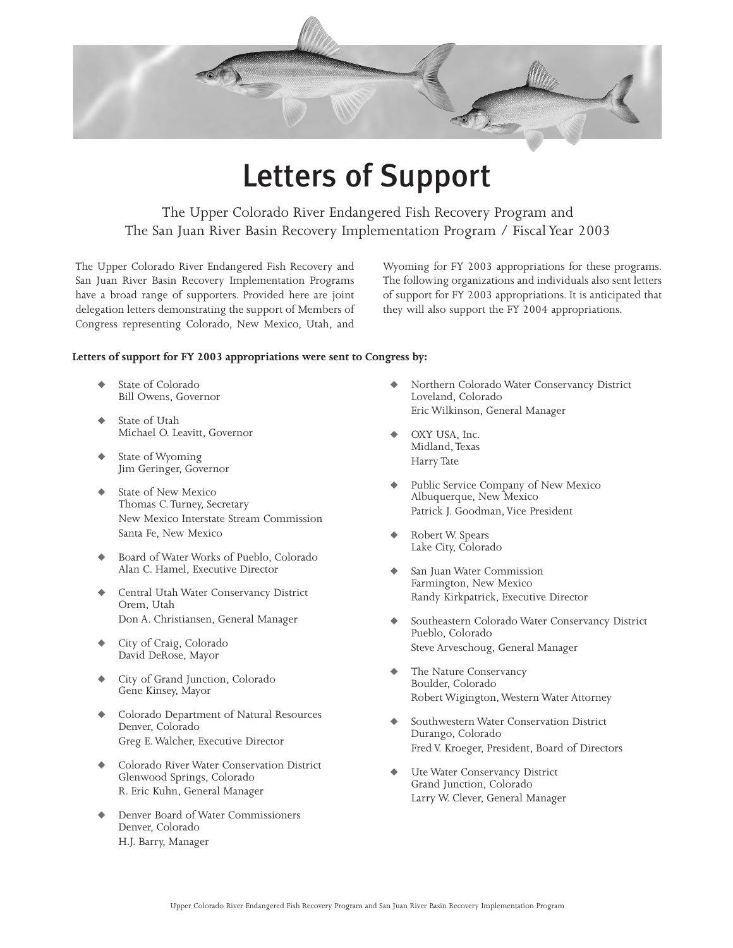

# Letters of Support

The Upper Colorado River Endangered Fish Recovery Program and The San Juan River Basin Recovery Implementation Program / Fiscal Year 2003

The Upper Colorado River Endangered Fish Recovery and San Juan River Basin Recovery Implementation Programs have a broad range of supporters. Provided here are joint delegation letters demonstrating the support of Members of Congress representing Colorado, New Mexico, Utah, and

Wyoming for FY 2003 appropriations for these programs. The following organizations and individuals also sent letters of support for FY 2003 appropriations. It is anticipated that they will also support the FY 2004 appropriations.

#### **Letters of support for FY 2003 appropriations were sent to Congress by:**

- State of Colorado Bill Owens, Governor
- State of Utah Michael O. Leavitt, Governor
- State of Wyoming Jim Geringer, Governor
- State of New Mexico Thomas C.Turney, Secretary New Mexico Interstate Stream Commission Santa Fe, New Mexico
- Board of Water Works of Pueblo, Colorado Alan C. Hamel, Executive Director
- Central Utah Water Conservancy District Orem, Utah Don A. Christiansen, General Manager
- City of Craig, Colorado David DeRose, Mayor
- City of Grand Junction, Colorado Gene Kinsey, Mayor
- Colorado Department of Natural Resources Denver, Colorado Greg E. Walcher, Executive Director
- Colorado River Water Conservation District Glenwood Springs, Colorado R. Eric Kuhn, General Manager
- Denver Board of Water Commissioners Denver, Colorado H.J. Barry, Manager
- Northern Colorado Water Conservancy District Loveland, Colorado Eric Wilkinson, General Manager
- OXY USA, Inc. Midland,Texas Harry Tate
- Public Service Company of New Mexico Albuquerque, New Mexico Patrick J. Goodman, Vice President
- Robert W. Spears Lake City, Colorado
- San Juan Water Commission Farmington, New Mexico Randy Kirkpatrick, Executive Director
- Southeastern Colorado Water Conservancy District Pueblo, Colorado Steve Arveschoug, General Manager
- The Nature Conservancy Boulder, Colorado Robert Wigington, Western Water Attorney
- Southwestern Water Conservation District Durango, Colorado Fred V. Kroeger, President, Board of Directors
- Ute Water Conservancy District Grand Junction, Colorado Larry W. Clever, General Manager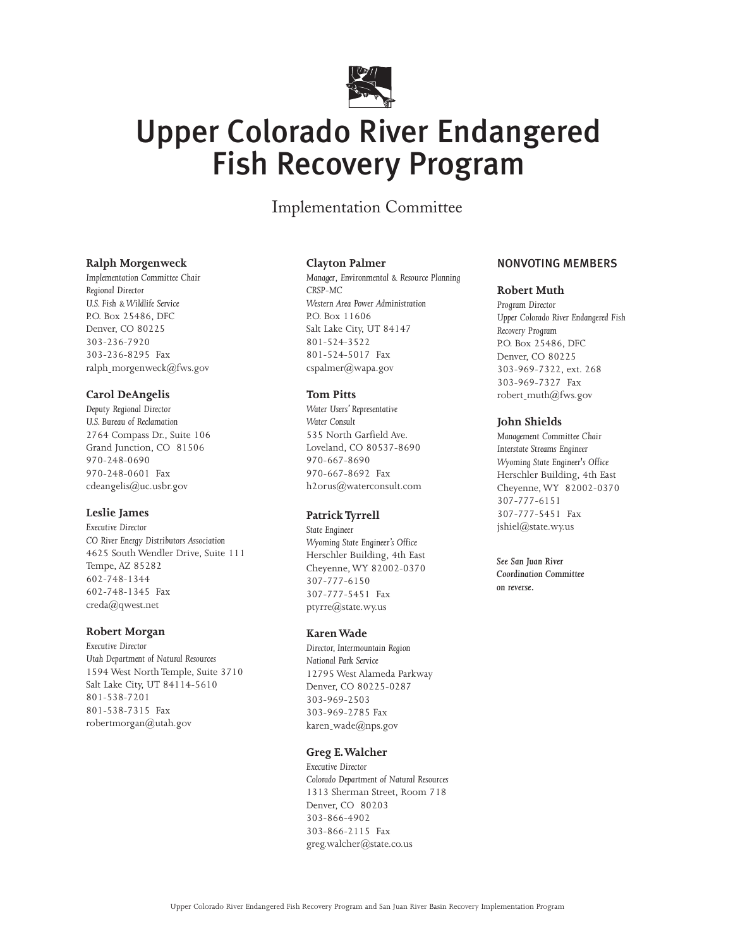

# Upper Colorado River Endangered Fish Recovery Program

Implementation Committee

#### **Ralph Morgenweck**

*Implementation Committee Chair Regional Director U.S. Fish & Wildlife Service* P.O. Box 25486, DFC Denver, CO 80225 303-236-7920 303-236-8295 Fax ralph-morgenweck@fws.gov

#### **Carol DeAngelis**

*Deputy Regional Director U.S. Bureau of Reclamation* 2764 Compass Dr., Suite 106 Grand Junction, CO 81506 970-248-0690 970-248-0601 Fax cdeangelis@uc.usbr.gov

#### **Leslie James**

*Executive Director CO River Energy Distributors Association* 4625 South Wendler Drive, Suite 111 Tempe, AZ 85282 602-748-1344 602-748-1345 Fax creda@qwest.net

#### **Robert Morgan**

*Executive Director Utah Department of Natural Resources* 1594 West North Temple, Suite 3710 Salt Lake City, UT 84114-5610 801-538-7201 801-538-7315 Fax robertmorgan@utah.gov

#### **Clayton Palmer**

*Manager*, *Environmental & Resource Planning CRSP-MC Western Area Power Administration* P.O. Box 11606 Salt Lake City, UT 84147 801-524-3522 801-524-5017 Fax cspalmer@wapa.gov

#### **Tom Pitts**

*Water Users' Representative Water Consult* 535 North Garfield Ave. Loveland, CO 80537-8690 970-667-8690 970-667-8692 Fax h2orus@waterconsult.com

# **Patrick Tyrrell**

*State Engineer Wyoming State Engineer's Office* Herschler Building, 4th East Cheyenne, WY 82002-0370 307-777-6150 307-777-5451 Fax ptyrre@state.wy.us

#### **Karen Wade**

*Director, Intermountain Region National Park Service* 12795 West Alameda Parkway Denver, CO 80225-0287 303-969-2503 303-969-2785 Fax karen\_wade@nps.gov

# **Greg E.Walcher**

*Executive Director Colorado Department of Natural Resources* 1313 Sherman Street, Room 718 Denver, CO 80203 303-866-4902 303-866-2115 Fax greg.walcher@state.co.us

# NONVOTING MEMBERS

#### **Robert Muth**

*Program Director Upper Colorado River Endangered Fish Recovery Program* P.O. Box 25486, DFC Denver, CO 80225 303-969-7322, ext. 268 303-969-7327 Fax robert-muth@fws.gov

#### **John Shields**

*Management Committee Chair Interstate Streams Engineer Wyoming State Engineer's Office* Herschler Building, 4th East Cheyenne, WY 82002-0370 307-777-6151 307-777-5451 Fax jshiel@state.wy.us

*See San Juan River Coordination Committee on reverse.*